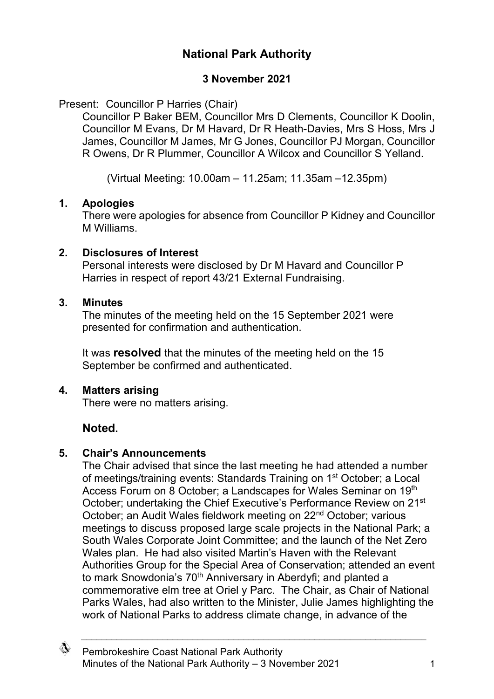# **National Park Authority**

## **3 November 2021**

Present: Councillor P Harries (Chair)

Councillor P Baker BEM, Councillor Mrs D Clements, Councillor K Doolin, Councillor M Evans, Dr M Havard, Dr R Heath-Davies, Mrs S Hoss, Mrs J James, Councillor M James, Mr G Jones, Councillor PJ Morgan, Councillor R Owens, Dr R Plummer, Councillor A Wilcox and Councillor S Yelland.

(Virtual Meeting: 10.00am – 11.25am; 11.35am –12.35pm)

### **1. Apologies**

There were apologies for absence from Councillor P Kidney and Councillor M Williams.

## **2. Disclosures of Interest**

Personal interests were disclosed by Dr M Havard and Councillor P Harries in respect of report 43/21 External Fundraising.

## **3. Minutes**

The minutes of the meeting held on the 15 September 2021 were presented for confirmation and authentication.

It was **resolved** that the minutes of the meeting held on the 15 September be confirmed and authenticated.

## **4. Matters arising**

There were no matters arising.

# **Noted.**

## **5. Chair's Announcements**

The Chair advised that since the last meeting he had attended a number of meetings/training events: Standards Training on 1st October; a Local Access Forum on 8 October; a Landscapes for Wales Seminar on 19th October; undertaking the Chief Executive's Performance Review on 21st October; an Audit Wales fieldwork meeting on 22nd October; various meetings to discuss proposed large scale projects in the National Park; a South Wales Corporate Joint Committee; and the launch of the Net Zero Wales plan. He had also visited Martin's Haven with the Relevant Authorities Group for the Special Area of Conservation; attended an event to mark Snowdonia's 70<sup>th</sup> Anniversary in Aberdyfi; and planted a commemorative elm tree at Oriel y Parc. The Chair, as Chair of National Parks Wales, had also written to the Minister, Julie James highlighting the work of National Parks to address climate change, in advance of the

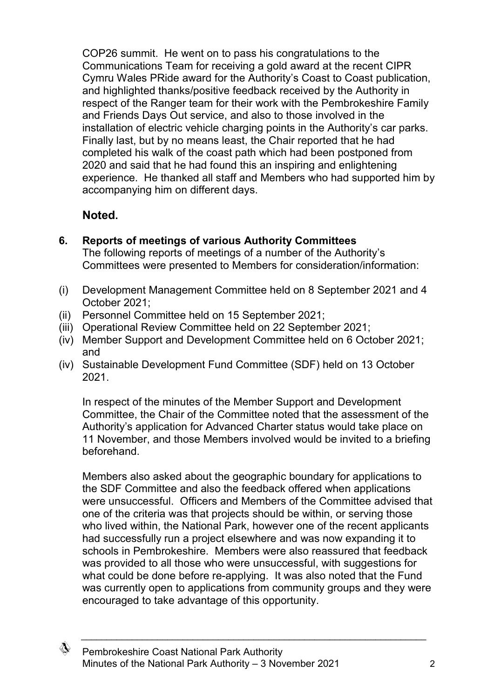COP26 summit. He went on to pass his congratulations to the Communications Team for receiving a gold award at the recent CIPR Cymru Wales PRide award for the Authority's Coast to Coast publication, and highlighted thanks/positive feedback received by the Authority in respect of the Ranger team for their work with the Pembrokeshire Family and Friends Days Out service, and also to those involved in the installation of electric vehicle charging points in the Authority's car parks. Finally last, but by no means least, the Chair reported that he had completed his walk of the coast path which had been postponed from 2020 and said that he had found this an inspiring and enlightening experience. He thanked all staff and Members who had supported him by accompanying him on different days.

# **Noted.**

**6. Reports of meetings of various Authority Committees**

The following reports of meetings of a number of the Authority's Committees were presented to Members for consideration/information:

- (i) Development Management Committee held on 8 September 2021 and 4 October 2021;
- (ii) Personnel Committee held on 15 September 2021;
- (iii) Operational Review Committee held on 22 September 2021;
- (iv) Member Support and Development Committee held on 6 October 2021; and
- (iv) Sustainable Development Fund Committee (SDF) held on 13 October 2021.

In respect of the minutes of the Member Support and Development Committee, the Chair of the Committee noted that the assessment of the Authority's application for Advanced Charter status would take place on 11 November, and those Members involved would be invited to a briefing beforehand.

Members also asked about the geographic boundary for applications to the SDF Committee and also the feedback offered when applications were unsuccessful. Officers and Members of the Committee advised that one of the criteria was that projects should be within, or serving those who lived within, the National Park, however one of the recent applicants had successfully run a project elsewhere and was now expanding it to schools in Pembrokeshire. Members were also reassured that feedback was provided to all those who were unsuccessful, with suggestions for what could be done before re-applying. It was also noted that the Fund was currently open to applications from community groups and they were encouraged to take advantage of this opportunity.

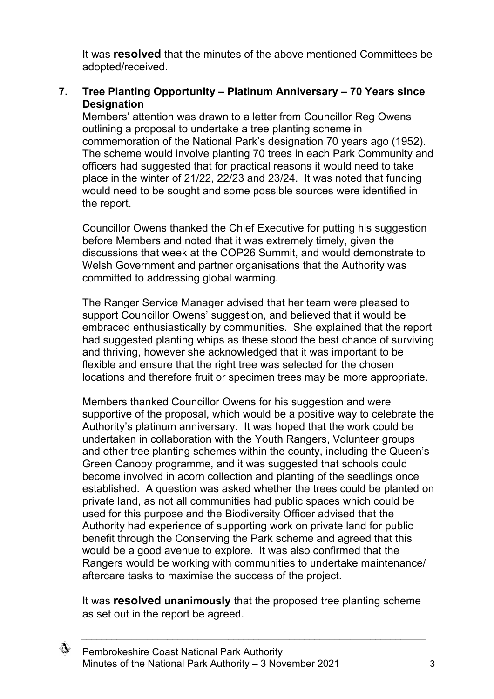It was **resolved** that the minutes of the above mentioned Committees be adopted/received.

### **7. Tree Planting Opportunity – Platinum Anniversary – 70 Years since Designation**

Members' attention was drawn to a letter from Councillor Reg Owens outlining a proposal to undertake a tree planting scheme in commemoration of the National Park's designation 70 years ago (1952). The scheme would involve planting 70 trees in each Park Community and officers had suggested that for practical reasons it would need to take place in the winter of 21/22, 22/23 and 23/24. It was noted that funding would need to be sought and some possible sources were identified in the report.

Councillor Owens thanked the Chief Executive for putting his suggestion before Members and noted that it was extremely timely, given the discussions that week at the COP26 Summit, and would demonstrate to Welsh Government and partner organisations that the Authority was committed to addressing global warming.

The Ranger Service Manager advised that her team were pleased to support Councillor Owens' suggestion, and believed that it would be embraced enthusiastically by communities. She explained that the report had suggested planting whips as these stood the best chance of surviving and thriving, however she acknowledged that it was important to be flexible and ensure that the right tree was selected for the chosen locations and therefore fruit or specimen trees may be more appropriate.

Members thanked Councillor Owens for his suggestion and were supportive of the proposal, which would be a positive way to celebrate the Authority's platinum anniversary. It was hoped that the work could be undertaken in collaboration with the Youth Rangers, Volunteer groups and other tree planting schemes within the county, including the Queen's Green Canopy programme, and it was suggested that schools could become involved in acorn collection and planting of the seedlings once established. A question was asked whether the trees could be planted on private land, as not all communities had public spaces which could be used for this purpose and the Biodiversity Officer advised that the Authority had experience of supporting work on private land for public benefit through the Conserving the Park scheme and agreed that this would be a good avenue to explore. It was also confirmed that the Rangers would be working with communities to undertake maintenance/ aftercare tasks to maximise the success of the project.

It was **resolved unanimously** that the proposed tree planting scheme as set out in the report be agreed.

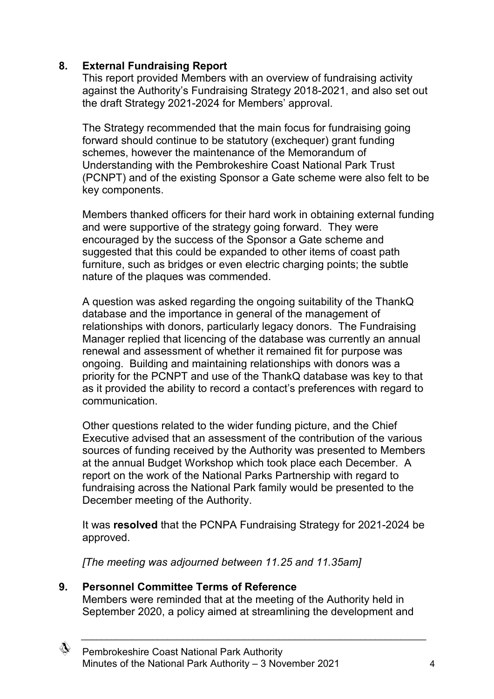## **8. External Fundraising Report**

This report provided Members with an overview of fundraising activity against the Authority's Fundraising Strategy 2018-2021, and also set out the draft Strategy 2021-2024 for Members' approval.

The Strategy recommended that the main focus for fundraising going forward should continue to be statutory (exchequer) grant funding schemes, however the maintenance of the Memorandum of Understanding with the Pembrokeshire Coast National Park Trust (PCNPT) and of the existing Sponsor a Gate scheme were also felt to be key components.

Members thanked officers for their hard work in obtaining external funding and were supportive of the strategy going forward. They were encouraged by the success of the Sponsor a Gate scheme and suggested that this could be expanded to other items of coast path furniture, such as bridges or even electric charging points; the subtle nature of the plaques was commended.

A question was asked regarding the ongoing suitability of the ThankQ database and the importance in general of the management of relationships with donors, particularly legacy donors. The Fundraising Manager replied that licencing of the database was currently an annual renewal and assessment of whether it remained fit for purpose was ongoing. Building and maintaining relationships with donors was a priority for the PCNPT and use of the ThankQ database was key to that as it provided the ability to record a contact's preferences with regard to communication.

Other questions related to the wider funding picture, and the Chief Executive advised that an assessment of the contribution of the various sources of funding received by the Authority was presented to Members at the annual Budget Workshop which took place each December. A report on the work of the National Parks Partnership with regard to fundraising across the National Park family would be presented to the December meeting of the Authority.

It was **resolved** that the PCNPA Fundraising Strategy for 2021-2024 be approved.

*[The meeting was adjourned between 11.25 and 11.35am]*

## **9. Personnel Committee Terms of Reference**

Members were reminded that at the meeting of the Authority held in September 2020, a policy aimed at streamlining the development and

 $\_$  , and the set of the set of the set of the set of the set of the set of the set of the set of the set of the set of the set of the set of the set of the set of the set of the set of the set of the set of the set of th

♢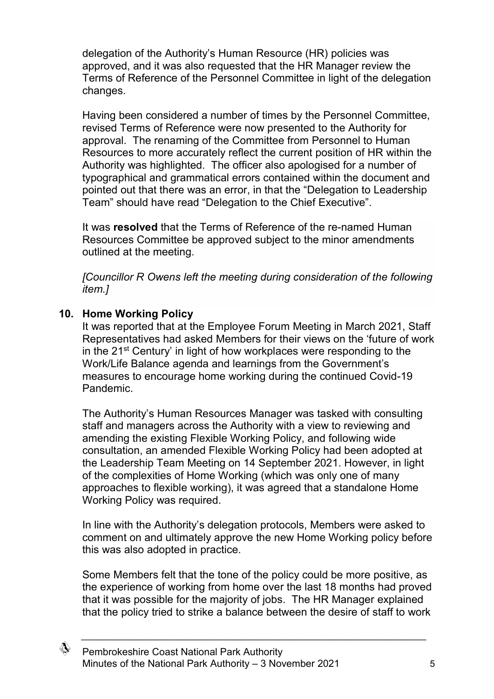delegation of the Authority's Human Resource (HR) policies was approved, and it was also requested that the HR Manager review the Terms of Reference of the Personnel Committee in light of the delegation changes.

Having been considered a number of times by the Personnel Committee, revised Terms of Reference were now presented to the Authority for approval. The renaming of the Committee from Personnel to Human Resources to more accurately reflect the current position of HR within the Authority was highlighted. The officer also apologised for a number of typographical and grammatical errors contained within the document and pointed out that there was an error, in that the "Delegation to Leadership Team" should have read "Delegation to the Chief Executive".

It was **resolved** that the Terms of Reference of the re-named Human Resources Committee be approved subject to the minor amendments outlined at the meeting.

*[Councillor R Owens left the meeting during consideration of the following item.]*

### **10. Home Working Policy**

It was reported that at the Employee Forum Meeting in March 2021, Staff Representatives had asked Members for their views on the 'future of work in the 21st Century' in light of how workplaces were responding to the Work/Life Balance agenda and learnings from the Government's measures to encourage home working during the continued Covid-19 Pandemic.

The Authority's Human Resources Manager was tasked with consulting staff and managers across the Authority with a view to reviewing and amending the existing Flexible Working Policy, and following wide consultation, an amended Flexible Working Policy had been adopted at the Leadership Team Meeting on 14 September 2021. However, in light of the complexities of Home Working (which was only one of many approaches to flexible working), it was agreed that a standalone Home Working Policy was required.

In line with the Authority's delegation protocols, Members were asked to comment on and ultimately approve the new Home Working policy before this was also adopted in practice.

Some Members felt that the tone of the policy could be more positive, as the experience of working from home over the last 18 months had proved that it was possible for the majority of jobs. The HR Manager explained that the policy tried to strike a balance between the desire of staff to work

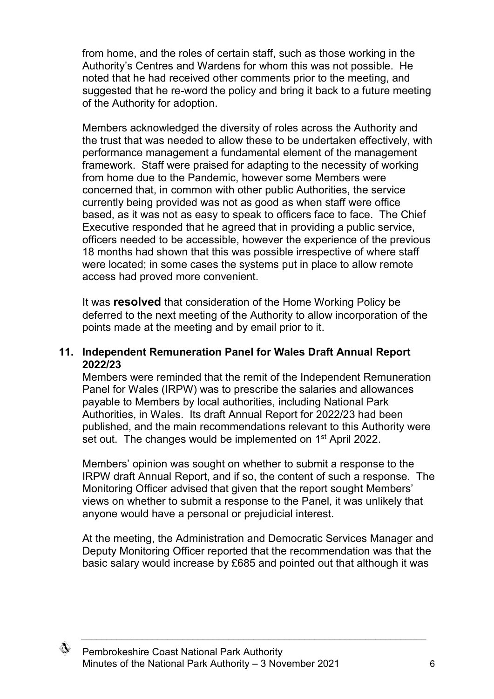from home, and the roles of certain staff, such as those working in the Authority's Centres and Wardens for whom this was not possible. He noted that he had received other comments prior to the meeting, and suggested that he re-word the policy and bring it back to a future meeting of the Authority for adoption.

Members acknowledged the diversity of roles across the Authority and the trust that was needed to allow these to be undertaken effectively, with performance management a fundamental element of the management framework. Staff were praised for adapting to the necessity of working from home due to the Pandemic, however some Members were concerned that, in common with other public Authorities, the service currently being provided was not as good as when staff were office based, as it was not as easy to speak to officers face to face. The Chief Executive responded that he agreed that in providing a public service, officers needed to be accessible, however the experience of the previous 18 months had shown that this was possible irrespective of where staff were located; in some cases the systems put in place to allow remote access had proved more convenient.

It was **resolved** that consideration of the Home Working Policy be deferred to the next meeting of the Authority to allow incorporation of the points made at the meeting and by email prior to it.

#### **11. Independent Remuneration Panel for Wales Draft Annual Report 2022/23**

Members were reminded that the remit of the Independent Remuneration Panel for Wales (IRPW) was to prescribe the salaries and allowances payable to Members by local authorities, including National Park Authorities, in Wales. Its draft Annual Report for 2022/23 had been published, and the main recommendations relevant to this Authority were set out. The changes would be implemented on 1<sup>st</sup> April 2022.

Members' opinion was sought on whether to submit a response to the IRPW draft Annual Report, and if so, the content of such a response. The Monitoring Officer advised that given that the report sought Members' views on whether to submit a response to the Panel, it was unlikely that anyone would have a personal or prejudicial interest.

At the meeting, the Administration and Democratic Services Manager and Deputy Monitoring Officer reported that the recommendation was that the basic salary would increase by £685 and pointed out that although it was

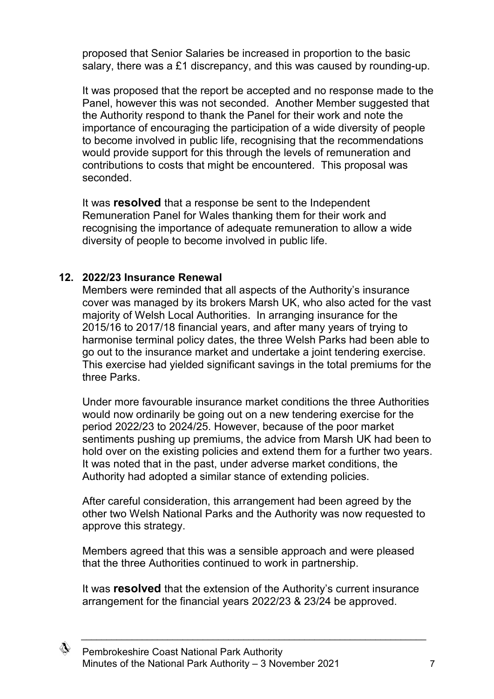proposed that Senior Salaries be increased in proportion to the basic salary, there was a £1 discrepancy, and this was caused by rounding-up.

It was proposed that the report be accepted and no response made to the Panel, however this was not seconded. Another Member suggested that the Authority respond to thank the Panel for their work and note the importance of encouraging the participation of a wide diversity of people to become involved in public life, recognising that the recommendations would provide support for this through the levels of remuneration and contributions to costs that might be encountered. This proposal was seconded.

It was **resolved** that a response be sent to the Independent Remuneration Panel for Wales thanking them for their work and recognising the importance of adequate remuneration to allow a wide diversity of people to become involved in public life.

#### **12. 2022/23 Insurance Renewal**

Members were reminded that all aspects of the Authority's insurance cover was managed by its brokers Marsh UK, who also acted for the vast majority of Welsh Local Authorities. In arranging insurance for the 2015/16 to 2017/18 financial years, and after many years of trying to harmonise terminal policy dates, the three Welsh Parks had been able to go out to the insurance market and undertake a joint tendering exercise. This exercise had yielded significant savings in the total premiums for the three Parks.

Under more favourable insurance market conditions the three Authorities would now ordinarily be going out on a new tendering exercise for the period 2022/23 to 2024/25. However, because of the poor market sentiments pushing up premiums, the advice from Marsh UK had been to hold over on the existing policies and extend them for a further two years. It was noted that in the past, under adverse market conditions, the Authority had adopted a similar stance of extending policies.

After careful consideration, this arrangement had been agreed by the other two Welsh National Parks and the Authority was now requested to approve this strategy.

Members agreed that this was a sensible approach and were pleased that the three Authorities continued to work in partnership.

It was **resolved** that the extension of the Authority's current insurance arrangement for the financial years 2022/23 & 23/24 be approved.